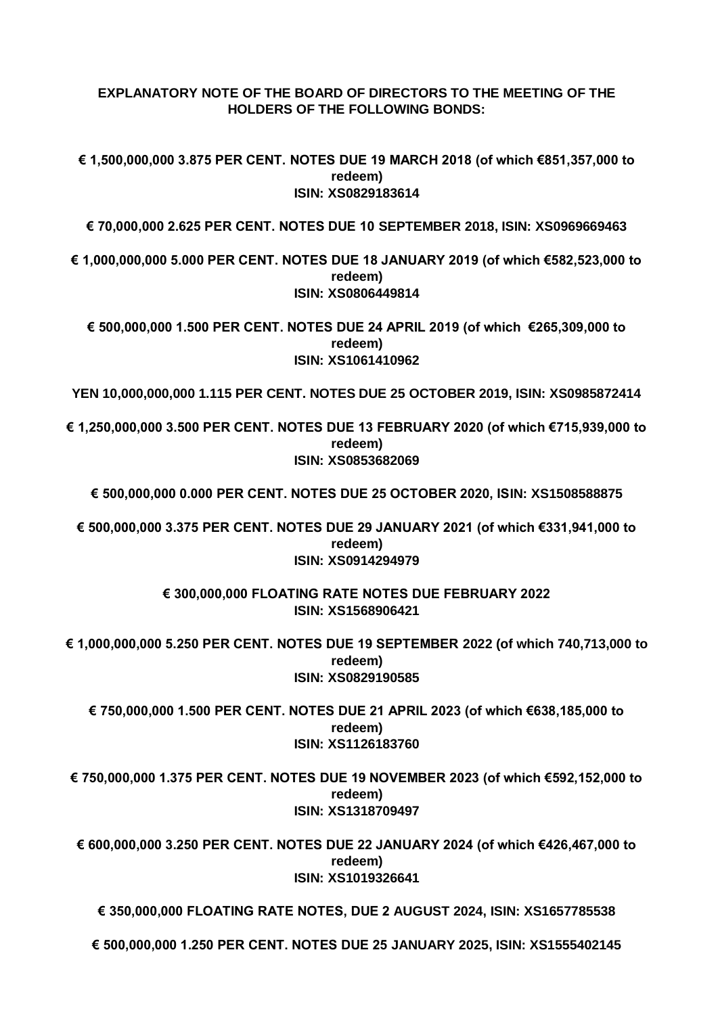## **EXPLANATORY NOTE OF THE BOARD OF DIRECTORS TO THE MEETING OF THE HOLDERS OF THE FOLLOWING BONDS:**

**€ 1,500,000,000 3.875 PER CENT. NOTES DUE 19 MARCH 2018 (of which €851,357,000 to redeem) ISIN: XS0829183614**

**€ 70,000,000 2.625 PER CENT. NOTES DUE 10 SEPTEMBER 2018, ISIN: XS0969669463**

**€ 1,000,000,000 5.000 PER CENT. NOTES DUE 18 JANUARY 2019 (of which €582,523,000 to redeem) ISIN: XS0806449814** 

**€ 500,000,000 1.500 PER CENT. NOTES DUE 24 APRIL 2019 (of which €265,309,000 to redeem) ISIN: XS1061410962**

**YEN 10,000,000,000 1.115 PER CENT. NOTES DUE 25 OCTOBER 2019, ISIN: XS0985872414**

**€ 1,250,000,000 3.500 PER CENT. NOTES DUE 13 FEBRUARY 2020 (of which €715,939,000 to redeem) ISIN: XS0853682069**

**€ 500,000,000 0.000 PER CENT. NOTES DUE 25 OCTOBER 2020, ISIN: XS1508588875**

**€ 500,000,000 3.375 PER CENT. NOTES DUE 29 JANUARY 2021 (of which €331,941,000 to redeem) ISIN: XS0914294979**

> **€ 300,000,000 FLOATING RATE NOTES DUE FEBRUARY 2022 ISIN: XS1568906421**

**€ 1,000,000,000 5.250 PER CENT. NOTES DUE 19 SEPTEMBER 2022 (of which 740,713,000 to redeem) ISIN: XS0829190585** 

**€ 750,000,000 1.500 PER CENT. NOTES DUE 21 APRIL 2023 (of which €638,185,000 to redeem) ISIN: XS1126183760**

**€ 750,000,000 1.375 PER CENT. NOTES DUE 19 NOVEMBER 2023 (of which €592,152,000 to redeem) ISIN: XS1318709497**

**€ 600,000,000 3.250 PER CENT. NOTES DUE 22 JANUARY 2024 (of which €426,467,000 to redeem) ISIN: XS1019326641**

**€ 350,000,000 FLOATING RATE NOTES, DUE 2 AUGUST 2024, ISIN: XS1657785538**

**€ 500,000,000 1.250 PER CENT. NOTES DUE 25 JANUARY 2025, ISIN: XS1555402145**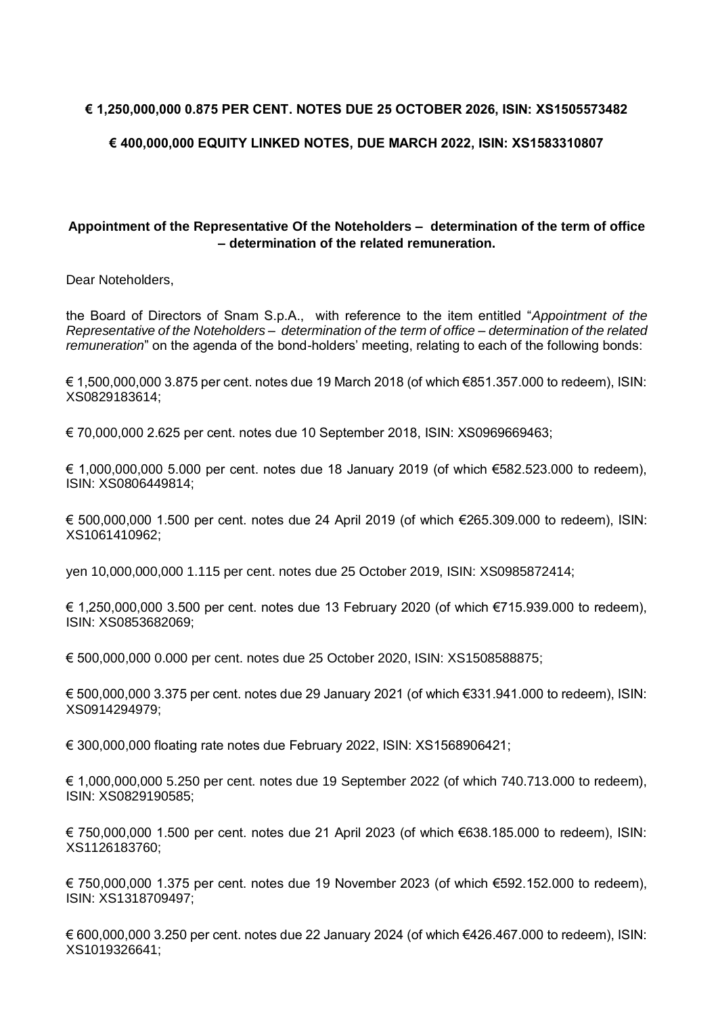## **€ 1,250,000,000 0.875 PER CENT. NOTES DUE 25 OCTOBER 2026, ISIN: XS1505573482**

## **€ 400,000,000 EQUITY LINKED NOTES, DUE MARCH 2022, ISIN: XS1583310807**

## **Appointment of the Representative Of the Noteholders – determination of the term of office – determination of the related remuneration.**

Dear Noteholders,

the Board of Directors of Snam S.p.A., with reference to the item entitled "*Appointment of the Representative of the Noteholders – determination of the term of office – determination of the related remuneration*" on the agenda of the bond-holders' meeting, relating to each of the following bonds:

€ 1,500,000,000 3.875 per cent. notes due 19 March 2018 (of which €851.357.000 to redeem), ISIN: XS0829183614;

€ 70,000,000 2.625 per cent. notes due 10 September 2018, ISIN: XS0969669463;

€ 1,000,000,000 5.000 per cent. notes due 18 January 2019 (of which €582.523.000 to redeem), ISIN: XS0806449814;

€ 500,000,000 1.500 per cent. notes due 24 April 2019 (of which €265.309.000 to redeem), ISIN: XS1061410962;

yen 10,000,000,000 1.115 per cent. notes due 25 October 2019, ISIN: XS0985872414;

€ 1,250,000,000 3.500 per cent. notes due 13 February 2020 (of which €715.939.000 to redeem), ISIN: XS0853682069;

€ 500,000,000 0.000 per cent. notes due 25 October 2020, ISIN: XS1508588875;

€ 500,000,000 3.375 per cent. notes due 29 January 2021 (of which €331.941.000 to redeem), ISIN: XS0914294979;

€ 300,000,000 floating rate notes due February 2022, ISIN: XS1568906421;

€ 1,000,000,000 5.250 per cent. notes due 19 September 2022 (of which 740.713.000 to redeem), ISIN: XS0829190585;

€ 750,000,000 1.500 per cent. notes due 21 April 2023 (of which €638.185.000 to redeem), ISIN: XS1126183760;

€ 750,000,000 1.375 per cent. notes due 19 November 2023 (of which €592.152.000 to redeem), ISIN: XS1318709497;

€ 600,000,000 3.250 per cent. notes due 22 January 2024 (of which €426.467.000 to redeem), ISIN: XS1019326641;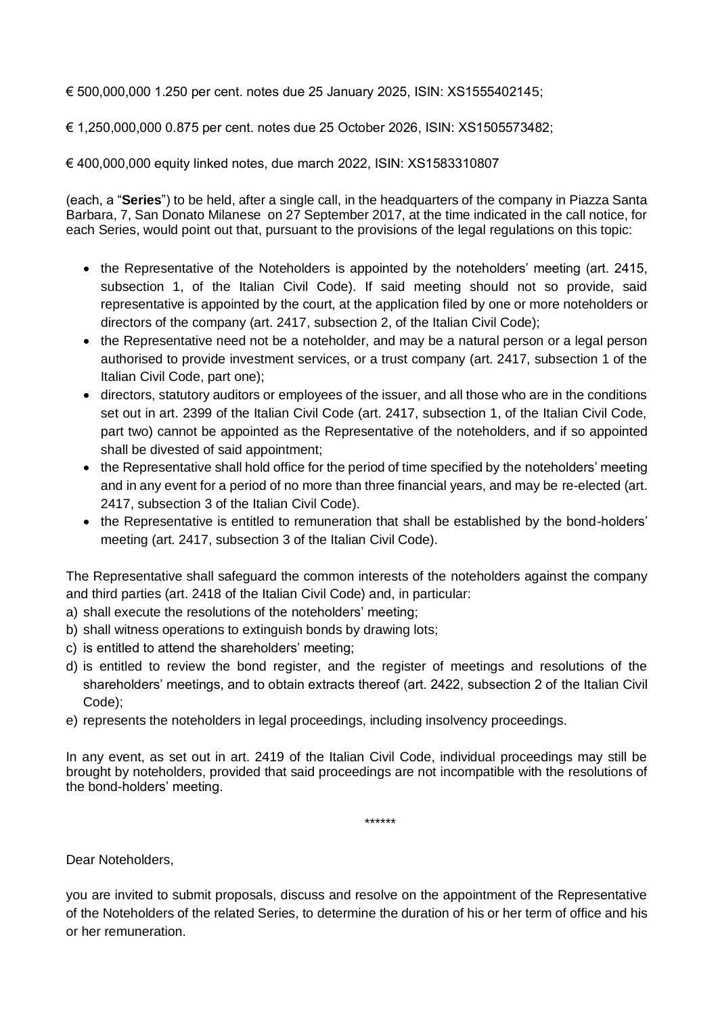€ 500,000,000 1.250 per cent. notes due 25 January 2025, ISIN: XS1555402145;

€ 1,250,000,000 0.875 per cent. notes due 25 October 2026, ISIN: XS1505573482;

€ 400,000,000 equity linked notes, due march 2022, ISIN: XS1583310807

(each, a "**Series**") to be held, after a single call, in the headquarters of the company in Piazza Santa Barbara, 7, San Donato Milanese on 27 September 2017, at the time indicated in the call notice, for each Series, would point out that, pursuant to the provisions of the legal regulations on this topic:

- the Representative of the Noteholders is appointed by the noteholders' meeting (art. 2415, subsection 1, of the Italian Civil Code). If said meeting should not so provide, said representative is appointed by the court, at the application filed by one or more noteholders or directors of the company (art. 2417, subsection 2, of the Italian Civil Code);
- the Representative need not be a noteholder, and may be a natural person or a legal person authorised to provide investment services, or a trust company (art. 2417, subsection 1 of the Italian Civil Code, part one);
- directors, statutory auditors or employees of the issuer, and all those who are in the conditions set out in art. 2399 of the Italian Civil Code (art. 2417, subsection 1, of the Italian Civil Code, part two) cannot be appointed as the Representative of the noteholders, and if so appointed shall be divested of said appointment;
- the Representative shall hold office for the period of time specified by the noteholders' meeting and in any event for a period of no more than three financial years, and may be re-elected (art. 2417, subsection 3 of the Italian Civil Code).
- the Representative is entitled to remuneration that shall be established by the bond-holders' meeting (art. 2417, subsection 3 of the Italian Civil Code).

The Representative shall safeguard the common interests of the noteholders against the company and third parties (art. 2418 of the Italian Civil Code) and, in particular:

- a) shall execute the resolutions of the noteholders' meeting;
- b) shall witness operations to extinguish bonds by drawing lots;
- c) is entitled to attend the shareholders' meeting;
- d) is entitled to review the bond register, and the register of meetings and resolutions of the shareholders' meetings, and to obtain extracts thereof (art. 2422, subsection 2 of the Italian Civil Code);
- e) represents the noteholders in legal proceedings, including insolvency proceedings.

In any event, as set out in art. 2419 of the Italian Civil Code, individual proceedings may still be brought by noteholders, provided that said proceedings are not incompatible with the resolutions of the bond-holders' meeting.

\*\*\*\*\*\*

Dear Noteholders,

you are invited to submit proposals, discuss and resolve on the appointment of the Representative of the Noteholders of the related Series, to determine the duration of his or her term of office and his or her remuneration.